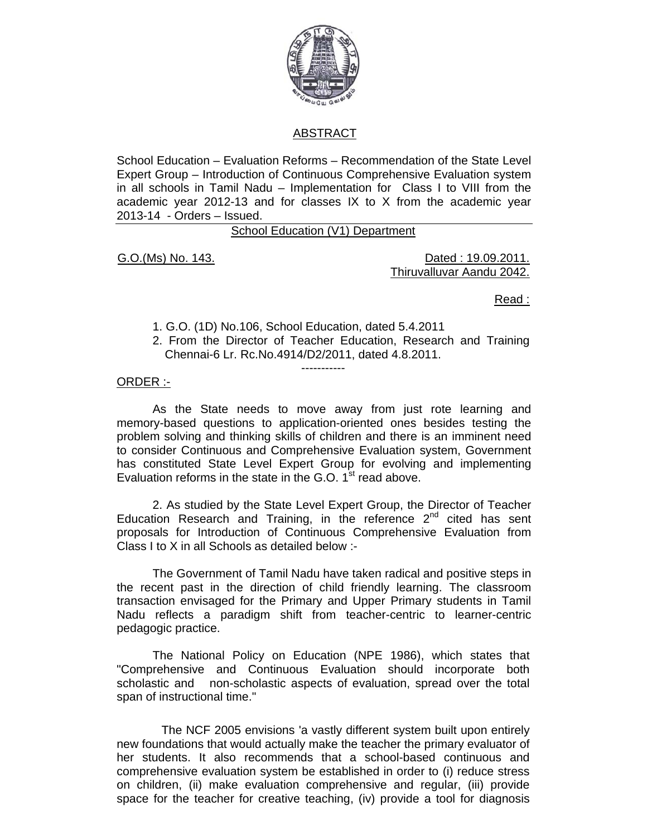

# ABSTRACT

School Education – Evaluation Reforms – Recommendation of the State Level Expert Group – Introduction of Continuous Comprehensive Evaluation system in all schools in Tamil Nadu – Implementation for Class I to VIII from the academic year 2012-13 and for classes IX to X from the academic year 2013-14 - Orders – Issued.

School Education (V1) Department

G.O.(Ms) No. 143. Dated : 19.09.2011. Thiruvalluvar Aandu 2042.

<u>Read : Album and the contract of the contract of the contract of the contract of the contract of the con</u>

- 1. G.O. (1D) No.106, School Education, dated 5.4.2011
- 2. From the Director of Teacher Education, Research and Training Chennai-6 Lr. Rc.No.4914/D2/2011, dated 4.8.2011.

ORDER :-

 As the State needs to move away from just rote learning and memory-based questions to application-oriented ones besides testing the problem solving and thinking skills of children and there is an imminent need to consider Continuous and Comprehensive Evaluation system, Government has constituted State Level Expert Group for evolving and implementing Evaluation reforms in the state in the G.O.  $1<sup>st</sup>$  read above.

-----------

 2. As studied by the State Level Expert Group, the Director of Teacher Education Research and Training, in the reference  $2^{nd}$  cited has sent proposals for Introduction of Continuous Comprehensive Evaluation from Class I to X in all Schools as detailed below :-

The Government of Tamil Nadu have taken radical and positive steps in the recent past in the direction of child friendly learning. The classroom transaction envisaged for the Primary and Upper Primary students in Tamil Nadu reflects a paradigm shift from teacher-centric to learner-centric pedagogic practice.

The National Policy on Education (NPE 1986), which states that "Comprehensive and Continuous Evaluation should incorporate both scholastic and non-scholastic aspects of evaluation, spread over the total span of instructional time."

 The NCF 2005 envisions 'a vastly different system built upon entirely new foundations that would actually make the teacher the primary evaluator of her students. It also recommends that a school-based continuous and comprehensive evaluation system be established in order to (i) reduce stress on children, (ii) make evaluation comprehensive and regular, (iii) provide space for the teacher for creative teaching, (iv) provide a tool for diagnosis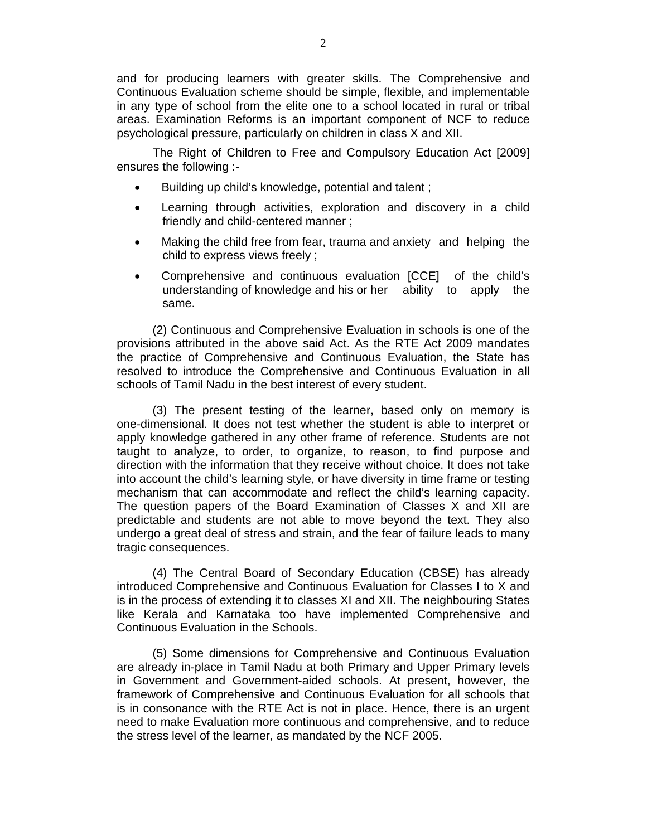and for producing learners with greater skills. The Comprehensive and Continuous Evaluation scheme should be simple, flexible, and implementable in any type of school from the elite one to a school located in rural or tribal areas. Examination Reforms is an important component of NCF to reduce psychological pressure, particularly on children in class X and XII.

 The Right of Children to Free and Compulsory Education Act [2009] ensures the following :-

- Building up child's knowledge, potential and talent ;
- Learning through activities, exploration and discovery in a child friendly and child-centered manner ;
- Making the child free from fear, trauma and anxiety and helping the child to express views freely ;
- Comprehensive and continuous evaluation [CCE] of the child's understanding of knowledge and his or her ability to apply the same.

(2) Continuous and Comprehensive Evaluation in schools is one of the provisions attributed in the above said Act. As the RTE Act 2009 mandates the practice of Comprehensive and Continuous Evaluation, the State has resolved to introduce the Comprehensive and Continuous Evaluation in all schools of Tamil Nadu in the best interest of every student.

(3) The present testing of the learner, based only on memory is one-dimensional. It does not test whether the student is able to interpret or apply knowledge gathered in any other frame of reference. Students are not taught to analyze, to order, to organize, to reason, to find purpose and direction with the information that they receive without choice. It does not take into account the child's learning style, or have diversity in time frame or testing mechanism that can accommodate and reflect the child's learning capacity. The question papers of the Board Examination of Classes X and XII are predictable and students are not able to move beyond the text. They also undergo a great deal of stress and strain, and the fear of failure leads to many tragic consequences.

(4) The Central Board of Secondary Education (CBSE) has already introduced Comprehensive and Continuous Evaluation for Classes I to X and is in the process of extending it to classes XI and XII. The neighbouring States like Kerala and Karnataka too have implemented Comprehensive and Continuous Evaluation in the Schools.

(5) Some dimensions for Comprehensive and Continuous Evaluation are already in-place in Tamil Nadu at both Primary and Upper Primary levels in Government and Government-aided schools. At present, however, the framework of Comprehensive and Continuous Evaluation for all schools that is in consonance with the RTE Act is not in place. Hence, there is an urgent need to make Evaluation more continuous and comprehensive, and to reduce the stress level of the learner, as mandated by the NCF 2005.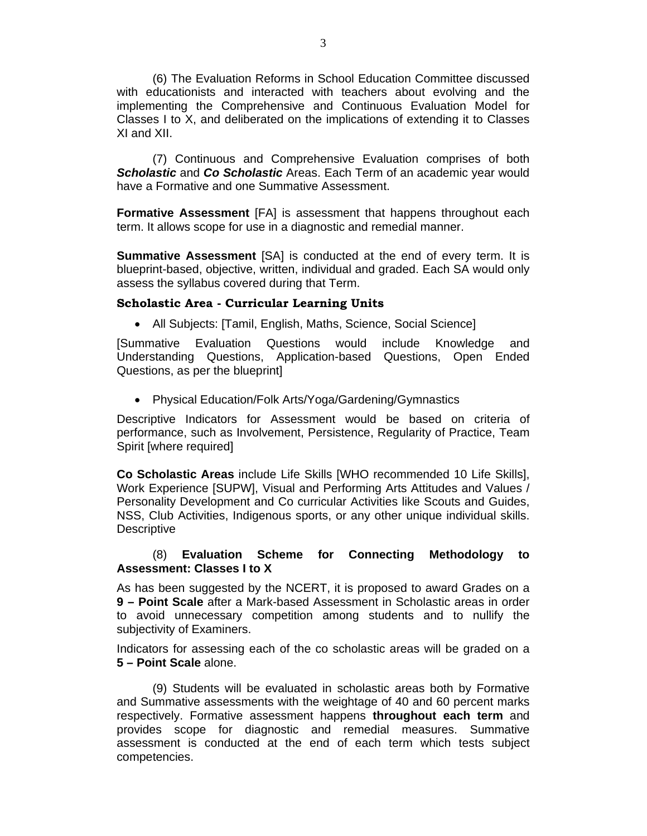(6) The Evaluation Reforms in School Education Committee discussed with educationists and interacted with teachers about evolving and the implementing the Comprehensive and Continuous Evaluation Model for Classes I to X, and deliberated on the implications of extending it to Classes XI and XII.

(7) Continuous and Comprehensive Evaluation comprises of both *Scholastic* and *Co Scholastic* Areas. Each Term of an academic year would have a Formative and one Summative Assessment.

**Formative Assessment** [FA] is assessment that happens throughout each term. It allows scope for use in a diagnostic and remedial manner.

**Summative Assessment** [SA] is conducted at the end of every term. It is blueprint-based, objective, written, individual and graded. Each SA would only assess the syllabus covered during that Term.

#### **Scholastic Area - Curricular Learning Units**

• All Subjects: [Tamil, English, Maths, Science, Social Science]

[Summative Evaluation Questions would include Knowledge and Understanding Questions, Application-based Questions, Open Ended Questions, as per the blueprint]

• Physical Education/Folk Arts/Yoga/Gardening/Gymnastics

Descriptive Indicators for Assessment would be based on criteria of performance, such as Involvement, Persistence, Regularity of Practice, Team Spirit [where required]

**Co Scholastic Areas** include Life Skills [WHO recommended 10 Life Skills], Work Experience [SUPW], Visual and Performing Arts Attitudes and Values / Personality Development and Co curricular Activities like Scouts and Guides, NSS, Club Activities, Indigenous sports, or any other unique individual skills. **Descriptive** 

## (8) **Evaluation Scheme for Connecting Methodology to Assessment: Classes I to X**

As has been suggested by the NCERT, it is proposed to award Grades on a **9 – Point Scale** after a Mark-based Assessment in Scholastic areas in order to avoid unnecessary competition among students and to nullify the subjectivity of Examiners.

Indicators for assessing each of the co scholastic areas will be graded on a **5 – Point Scale** alone.

(9) Students will be evaluated in scholastic areas both by Formative and Summative assessments with the weightage of 40 and 60 percent marks respectively. Formative assessment happens **throughout each term** and provides scope for diagnostic and remedial measures. Summative assessment is conducted at the end of each term which tests subject competencies.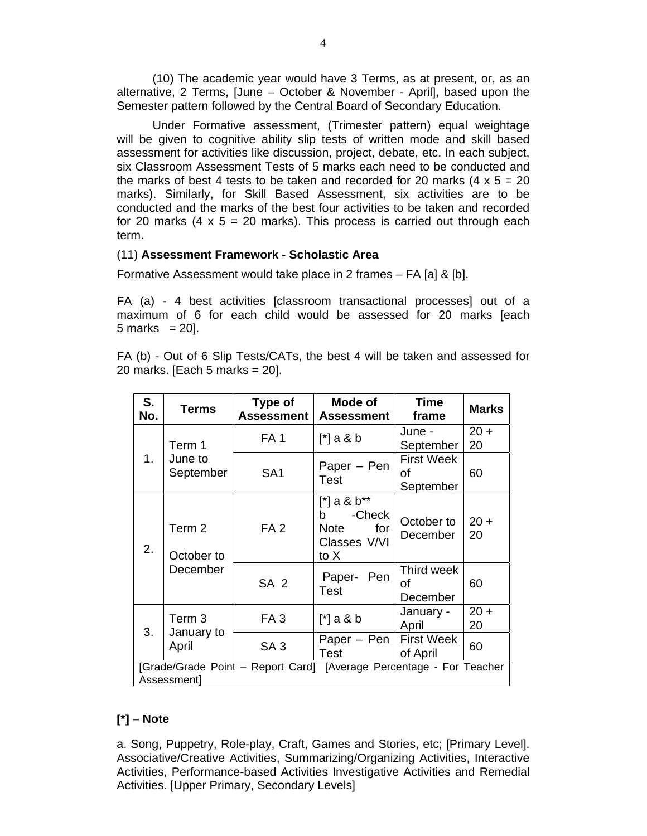(10) The academic year would have 3 Terms, as at present, or, as an alternative, 2 Terms, [June – October & November - April], based upon the Semester pattern followed by the Central Board of Secondary Education.

Under Formative assessment, (Trimester pattern) equal weightage will be given to cognitive ability slip tests of written mode and skill based assessment for activities like discussion, project, debate, etc. In each subject, six Classroom Assessment Tests of 5 marks each need to be conducted and the marks of best 4 tests to be taken and recorded for 20 marks  $(4 \times 5 = 20)$ marks). Similarly, for Skill Based Assessment, six activities are to be conducted and the marks of the best four activities to be taken and recorded for 20 marks  $(4 \times 5 = 20$  marks). This process is carried out through each term.

### (11) **Assessment Framework - Scholastic Area**

Formative Assessment would take place in 2 frames – FA [a] & [b].

FA (a) - 4 best activities [classroom transactional processes] out of a maximum of 6 for each child would be assessed for 20 marks [each  $5$  marks  $= 20$ ].

FA (b) - Out of 6 Slip Tests/CATs, the best 4 will be taken and assessed for 20 marks. [Each 5 marks = 20].

| S.<br>No.                                                                          | <b>Terms</b>                             | Type of<br><b>Assessment</b> | Mode of<br><b>Assessment</b>                                          | <b>Time</b><br>frame                 | <b>Marks</b> |
|------------------------------------------------------------------------------------|------------------------------------------|------------------------------|-----------------------------------------------------------------------|--------------------------------------|--------------|
| 1.                                                                                 | Term 1                                   | FA <sub>1</sub>              | $[^*]$ a & b                                                          | June -<br>September                  | $20 +$<br>20 |
|                                                                                    | June to<br>September                     | SA <sub>1</sub>              | Paper - Pen<br><b>Test</b>                                            | <b>First Week</b><br>οf<br>September | 60           |
| 2.                                                                                 | Term 2<br>October to                     | FA <sub>2</sub>              | $[$ *] a & b**<br>-Check<br>b.<br>Note<br>for<br>Classes V/VI<br>to X | October to<br>December               | $20 +$<br>20 |
|                                                                                    | December                                 | SA <sub>2</sub>              | Paper- Pen<br><b>Test</b>                                             | Third week<br>οf<br>December         | 60           |
| 3.                                                                                 | Term <sub>3</sub><br>January to<br>April | FA <sub>3</sub>              | $[^*]$ a & b                                                          | January -<br>April                   | $20 +$<br>20 |
|                                                                                    |                                          | SA <sub>3</sub>              | Paper – Pen $\vert$<br>Test                                           | <b>First Week</b><br>of April        | 60           |
| [Grade/Grade Point - Report Card] [Average Percentage - For Teacher<br>Assessment] |                                          |                              |                                                                       |                                      |              |

## **[\*] – Note**

a. Song, Puppetry, Role-play, Craft, Games and Stories, etc; [Primary Level]. Associative/Creative Activities, Summarizing/Organizing Activities, Interactive Activities, Performance-based Activities Investigative Activities and Remedial Activities. [Upper Primary, Secondary Levels]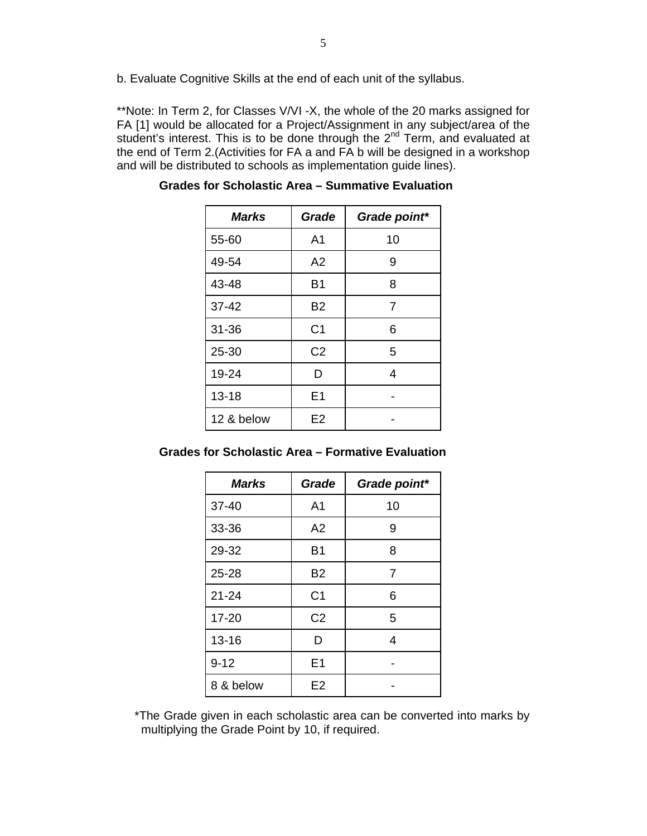b. Evaluate Cognitive Skills at the end of each unit of the syllabus.

\*\*Note: In Term 2, for Classes V/VI -X, the whole of the 20 marks assigned for FA [1] would be allocated for a Project/Assignment in any subject/area of the student's interest. This is to be done through the 2<sup>nd</sup> Term, and evaluated at the end of Term 2.(Activities for FA a and FA b will be designed in a workshop and will be distributed to schools as implementation guide lines).

| <b>Marks</b> | Grade          | Grade point*   |
|--------------|----------------|----------------|
| 55-60        | A <sub>1</sub> | 10             |
| 49-54        | A2             | 9              |
| 43-48        | B1             | 8              |
| $37 - 42$    | <b>B2</b>      | $\overline{7}$ |
| $31 - 36$    | C <sub>1</sub> | 6              |
| $25 - 30$    | C <sub>2</sub> | 5              |
| 19-24        | D              | 4              |
| $13 - 18$    | E <sub>1</sub> |                |
| 12 & below   | E2             |                |

 **Grades for Scholastic Area – Summative Evaluation** 

| <b>Marks</b> | Grade          | Grade point*   |
|--------------|----------------|----------------|
| $37 - 40$    | A <sub>1</sub> | 10             |
| 33-36        | A2             | 9              |
| 29-32        | <b>B1</b>      | 8              |
| $25 - 28$    | <b>B2</b>      | $\overline{7}$ |
| $21 - 24$    | C <sub>1</sub> | 6              |
| $17 - 20$    | C <sub>2</sub> | 5              |
| $13 - 16$    | D              | 4              |
| $9 - 12$     | E1             |                |
| 8 & below    | E <sub>2</sub> |                |

\*The Grade given in each scholastic area can be converted into marks by multiplying the Grade Point by 10, if required.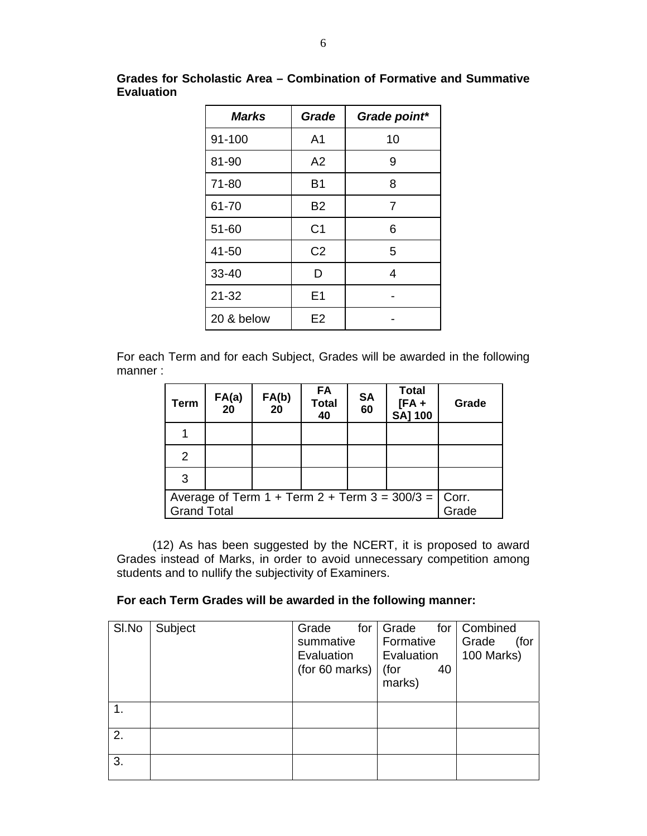| <b>Marks</b> | Grade          | Grade point* |
|--------------|----------------|--------------|
| 91-100       | A <sub>1</sub> | 10           |
| 81-90        | A2             | 9            |
| 71-80        | <b>B1</b>      | 8            |
| 61-70        | <b>B2</b>      | 7            |
| 51-60        | C <sub>1</sub> | 6            |
| 41-50        | C <sub>2</sub> | 5            |
| 33-40        | D              | 4            |
| $21 - 32$    | E <sub>1</sub> |              |
| 20 & below   | E2             |              |

**Grades for Scholastic Area – Combination of Formative and Summative Evaluation** 

For each Term and for each Subject, Grades will be awarded in the following manner :

| <b>Term</b>                                                                         | FA(a)<br>20 | FA(b)<br>20 | FA<br><b>Total</b><br>40 | <b>SA</b><br>60 | <b>Total</b><br>$[FA +$<br><b>SA] 100</b> | Grade |
|-------------------------------------------------------------------------------------|-------------|-------------|--------------------------|-----------------|-------------------------------------------|-------|
|                                                                                     |             |             |                          |                 |                                           |       |
| 2                                                                                   |             |             |                          |                 |                                           |       |
| 3                                                                                   |             |             |                          |                 |                                           |       |
| Average of Term 1 + Term 2 + Term 3 = $300/3$ = $\vert$ Corr.<br><b>Grand Total</b> |             |             | Grade                    |                 |                                           |       |

 (12) As has been suggested by the NCERT, it is proposed to award Grades instead of Marks, in order to avoid unnecessary competition among students and to nullify the subjectivity of Examiners.

# **For each Term Grades will be awarded in the following manner:**

| SI.No | Subject | Grade<br>for   | Grade      | for   Combined |
|-------|---------|----------------|------------|----------------|
|       |         | summative      | Formative  | Grade<br>(for  |
|       |         | Evaluation     | Evaluation | 100 Marks)     |
|       |         | (for 60 marks) | (for<br>40 |                |
|       |         |                | marks)     |                |
|       |         |                |            |                |
| 1.    |         |                |            |                |
|       |         |                |            |                |
| 2.    |         |                |            |                |
| 3.    |         |                |            |                |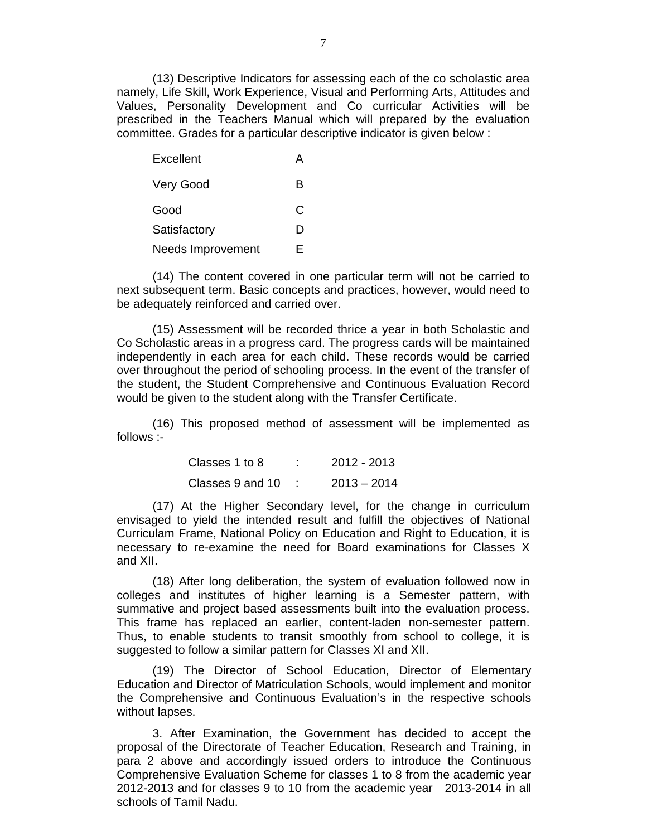(13) Descriptive Indicators for assessing each of the co scholastic area namely, Life Skill, Work Experience, Visual and Performing Arts, Attitudes and Values, Personality Development and Co curricular Activities will be prescribed in the Teachers Manual which will prepared by the evaluation committee. Grades for a particular descriptive indicator is given below :

| Excellent                |   |
|--------------------------|---|
| <b>Very Good</b>         | в |
| Good                     | C |
| Satisfactory             | D |
| <b>Needs Improvement</b> | F |

(14) The content covered in one particular term will not be carried to next subsequent term. Basic concepts and practices, however, would need to be adequately reinforced and carried over.

(15) Assessment will be recorded thrice a year in both Scholastic and Co Scholastic areas in a progress card. The progress cards will be maintained independently in each area for each child. These records would be carried over throughout the period of schooling process. In the event of the transfer of the student, the Student Comprehensive and Continuous Evaluation Record would be given to the student along with the Transfer Certificate.

(16) This proposed method of assessment will be implemented as follows :-

| Classes 1 to 8   | 2012 - 2013   |
|------------------|---------------|
| Classes 9 and 10 | $2013 - 2014$ |

(17) At the Higher Secondary level, for the change in curriculum envisaged to yield the intended result and fulfill the objectives of National Curriculam Frame, National Policy on Education and Right to Education, it is necessary to re-examine the need for Board examinations for Classes X and XII.

(18) After long deliberation, the system of evaluation followed now in colleges and institutes of higher learning is a Semester pattern, with summative and project based assessments built into the evaluation process. This frame has replaced an earlier, content-laden non-semester pattern. Thus, to enable students to transit smoothly from school to college, it is suggested to follow a similar pattern for Classes XI and XII.

(19) The Director of School Education, Director of Elementary Education and Director of Matriculation Schools, would implement and monitor the Comprehensive and Continuous Evaluation's in the respective schools without lapses.

3. After Examination, the Government has decided to accept the proposal of the Directorate of Teacher Education, Research and Training, in para 2 above and accordingly issued orders to introduce the Continuous Comprehensive Evaluation Scheme for classes 1 to 8 from the academic year 2012-2013 and for classes 9 to 10 from the academic year 2013-2014 in all schools of Tamil Nadu.